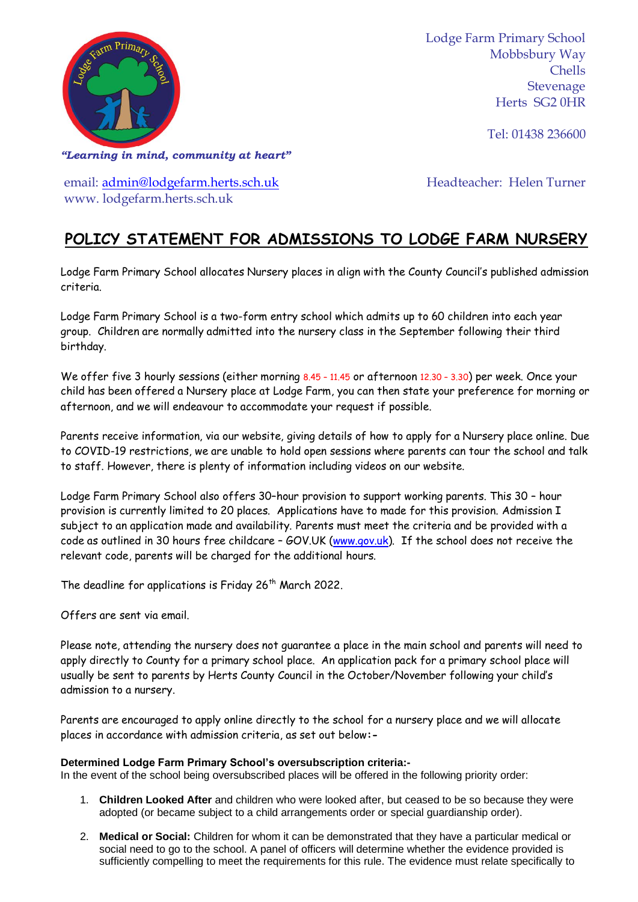

Lodge Farm Primary School Mobbsbury Way Chells Stevenage Herts SG2 0HR

Tel: 01438 236600

*"Learning in mind, community at heart"*

email: [admin@lodgefarm.herts.sch.uk](mailto:admin@lodgefarm.herts.sch.uk) www. lodgefarm.herts.sch.uk

Headteacher: Helen Turner

## **POLICY STATEMENT FOR ADMISSIONS TO LODGE FARM NURSERY**

Lodge Farm Primary School allocates Nursery places in align with the County Council's published admission criteria.

Lodge Farm Primary School is a two-form entry school which admits up to 60 children into each year group. Children are normally admitted into the nursery class in the September following their third birthday.

We offer five 3 hourly sessions (either morning 8.45 - 11.45 or afternoon 12.30 - 3.30) per week. Once your child has been offered a Nursery place at Lodge Farm, you can then state your preference for morning or afternoon, and we will endeavour to accommodate your request if possible.

Parents receive information, via our website, giving details of how to apply for a Nursery place online. Due to COVID-19 restrictions, we are unable to hold open sessions where parents can tour the school and talk to staff. However, there is plenty of information including videos on our website.

Lodge Farm Primary School also offers 30–hour provision to support working parents. This 30 – hour provision is currently limited to 20 places. Applications have to made for this provision. Admission I subject to an application made and availability. Parents must meet the criteria and be provided with a code as outlined in 30 hours free childcare - GOV.UK [\(www.gov.uk\)](http://www.gov.uk/). If the school does not receive the relevant code, parents will be charged for the additional hours.

The deadline for applications is Friday 26<sup>th</sup> March 2022.

Offers are sent via email.

Please note, attending the nursery does not guarantee a place in the main school and parents will need to apply directly to County for a primary school place. An application pack for a primary school place will usually be sent to parents by Herts County Council in the October/November following your child's admission to a nursery.

Parents are encouraged to apply online directly to the school for a nursery place and we will allocate places in accordance with admission criteria, as set out below**:-**

## **Determined Lodge Farm Primary School's oversubscription criteria:-**

In the event of the school being oversubscribed places will be offered in the following priority order:

- 1. **Children Looked After** and children who were looked after, but ceased to be so because they were adopted (or became subject to a child arrangements order or special guardianship order).
- 2. **Medical or Social:** Children for whom it can be demonstrated that they have a particular medical or social need to go to the school. A panel of officers will determine whether the evidence provided is sufficiently compelling to meet the requirements for this rule. The evidence must relate specifically to